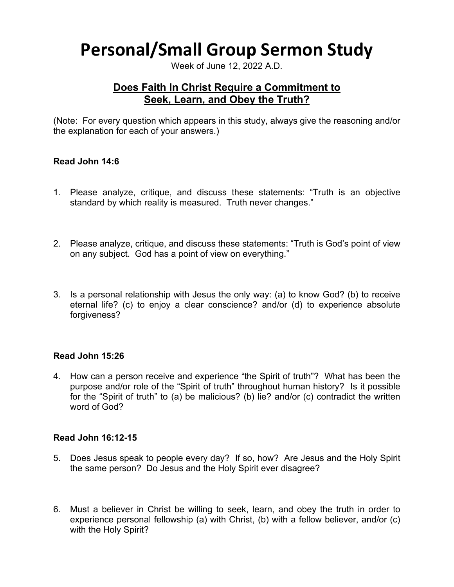# **Personal/Small Group Sermon Study**

Week of June 12, 2022 A.D.

# **Does Faith In Christ Require a Commitment to Seek, Learn, and Obey the Truth?**

(Note: For every question which appears in this study, always give the reasoning and/or the explanation for each of your answers.)

# **Read John 14:6**

- 1. Please analyze, critique, and discuss these statements: "Truth is an objective standard by which reality is measured. Truth never changes."
- 2. Please analyze, critique, and discuss these statements: "Truth is God's point of view on any subject. God has a point of view on everything."
- 3. Is a personal relationship with Jesus the only way: (a) to know God? (b) to receive eternal life? (c) to enjoy a clear conscience? and/or (d) to experience absolute forgiveness?

## **Read John 15:26**

4. How can a person receive and experience "the Spirit of truth"? What has been the purpose and/or role of the "Spirit of truth" throughout human history? Is it possible for the "Spirit of truth" to (a) be malicious? (b) lie? and/or (c) contradict the written word of God?

## **Read John 16:12-15**

- 5. Does Jesus speak to people every day? If so, how? Are Jesus and the Holy Spirit the same person? Do Jesus and the Holy Spirit ever disagree?
- 6. Must a believer in Christ be willing to seek, learn, and obey the truth in order to experience personal fellowship (a) with Christ, (b) with a fellow believer, and/or (c) with the Holy Spirit?